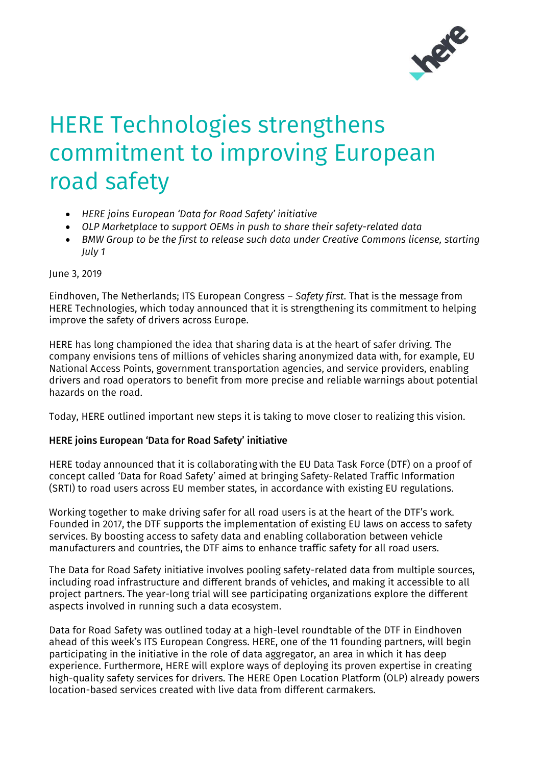

# HERE Technologies strengthens commitment to improving European road safety

- *HERE joins European 'Data for Road Safety' initiative*
- *OLP Marketplace to support OEMs in push to share their safety-related data*
- *BMW Group to be the first to release such data under Creative Commons license, starting July 1*

#### June 3, 2019

Eindhoven, The Netherlands; ITS European Congress – *Safety first*. That is the message from HERE Technologies, which today announced that it is strengthening its commitment to helping improve the safety of drivers across Europe.

HERE has long championed the idea that sharing data is at the heart of safer driving. The company envisions tens of millions of vehicles sharing anonymized data with, for example, EU National Access Points, government transportation agencies, and service providers, enabling drivers and road operators to benefit from more precise and reliable warnings about potential hazards on the road.

Today, HERE outlined important new steps it is taking to move closer to realizing this vision.

### HERE joins European 'Data for Road Safety' initiative

HERE today announced that it is collaborating with the EU Data Task Force (DTF) on a proof of concept called 'Data for Road Safety' aimed at bringing Safety-Related Traffic Information (SRTI) to road users across EU member states, in accordance with existing EU regulations.

Working together to make driving safer for all road users is at the heart of the DTF's work. Founded in 2017, the DTF supports the implementation of existing EU laws on access to safety services. By boosting access to safety data and enabling collaboration between vehicle manufacturers and countries, the DTF aims to enhance traffic safety for all road users.

The Data for Road Safety initiative involves pooling safety-related data from multiple sources, including road infrastructure and different brands of vehicles, and making it accessible to all project partners. The year-long trial will see participating organizations explore the different aspects involved in running such a data ecosystem.

Data for Road Safety was outlined today at a high-level roundtable of the DTF in Eindhoven ahead of this week's ITS European Congress. HERE, one of the 11 founding partners, will begin participating in the initiative in the role of data aggregator, an area in which it has deep experience. Furthermore, HERE will explore ways of deploying its proven expertise in creating high-quality safety services for drivers. The HERE Open Location Platform (OLP) already powers location-based services created with live data from different carmakers.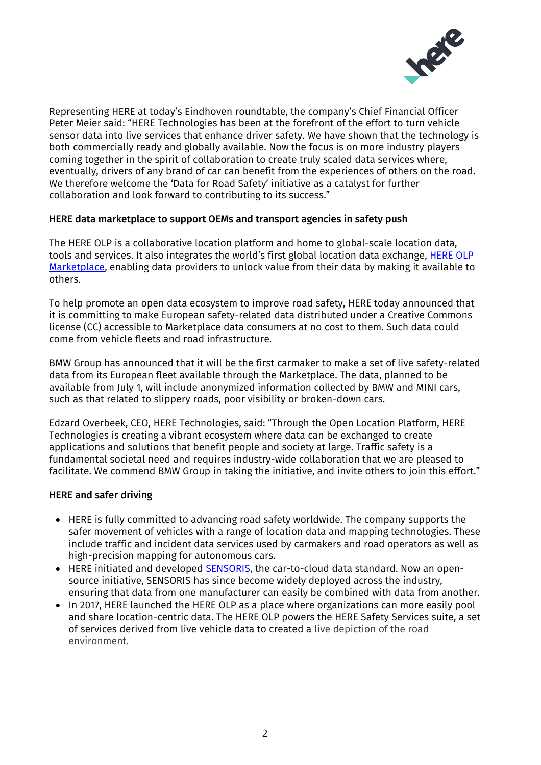

Representing HERE at today's Eindhoven roundtable, the company's Chief Financial Officer Peter Meier said: "HERE Technologies has been at the forefront of the effort to turn vehicle sensor data into live services that enhance driver safety. We have shown that the technology is both commercially ready and globally available. Now the focus is on more industry players coming together in the spirit of collaboration to create truly scaled data services where, eventually, drivers of any brand of car can benefit from the experiences of others on the road. We therefore welcome the 'Data for Road Safety' initiative as a catalyst for further collaboration and look forward to contributing to its success."

## HERE data marketplace to support OEMs and transport agencies in safety push

The HERE OLP is a collaborative location platform and home to global-scale location data, tools and services. It also integrates the world's first global location data exchange, [HERE OLP](https://openlocation.here.com/marketplace/overview)  [Marketplace,](https://openlocation.here.com/marketplace/overview) enabling data providers to unlock value from their data by making it available to others.

To help promote an open data ecosystem to improve road safety, HERE today announced that it is committing to make European safety-related data distributed under a Creative Commons license (CC) accessible to Marketplace data consumers at no cost to them. Such data could come from vehicle fleets and road infrastructure.

BMW Group has announced that it will be the first carmaker to make a set of live safety-related data from its European fleet available through the Marketplace. The data, planned to be available from July 1, will include anonymized information collected by BMW and MINI cars, such as that related to slippery roads, poor visibility or broken-down cars.

Edzard Overbeek, CEO, HERE Technologies, said: "Through the Open Location Platform, HERE Technologies is creating a vibrant ecosystem where data can be exchanged to create applications and solutions that benefit people and society at large. Traffic safety is a fundamental societal need and requires industry-wide collaboration that we are pleased to facilitate. We commend BMW Group in taking the initiative, and invite others to join this effort."

### HERE and safer driving

- HERE is fully committed to advancing road safety worldwide. The company supports the safer movement of vehicles with a range of location data and mapping technologies. These include traffic and incident data services used by carmakers and road operators as well as high-precision mapping for autonomous cars.
- HERE initiated and developed **SENSORIS**, the car-to-cloud data standard. Now an opensource initiative, SENSORIS has since become widely deployed across the industry, ensuring that data from one manufacturer can easily be combined with data from another.
- In 2017, HERE launched the HERE OLP as a place where organizations can more easily pool and share location-centric data. The HERE OLP powers the HERE Safety Services suite, a set of services derived from live vehicle data to created a live depiction of the road environment.